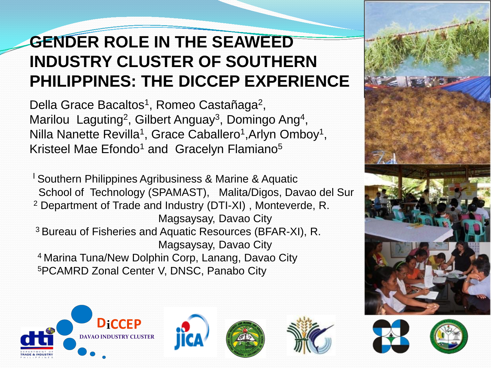## **GENDER ROLE IN THE SEAWEED INDUSTRY CLUSTER OF SOUTHERN PHILIPPINES: THE DICCEP EXPERIENCE**

Della Grace Bacaltos<sup>1</sup>, Romeo Castañaga<sup>2</sup>, Marilou Laguting<sup>2</sup>, Gilbert Anguay<sup>3</sup>, Domingo Ang<sup>4</sup>, Nilla Nanette Revilla<sup>1</sup>, Grace Caballero<sup>1</sup>, Arlyn Omboy<sup>1</sup>, Kristeel Mae Efondo<sup>1</sup> and Gracelyn Flamiano<sup>5</sup>

I Southern Philippines Agribusiness & Marine & Aquatic School of Technology (SPAMAST), Malita/Digos, Davao del Sur <sup>2</sup> Department of Trade and Industry (DTI-XI) , Monteverde, R. Magsaysay, Davao City 3 Bureau of Fisheries and Aquatic Resources (BFAR-XI), R. Magsaysay, Davao City 4 Marina Tuna/New Dolphin Corp, Lanang, Davao City 5PCAMRD Zonal Center V, DNSC, Panabo City





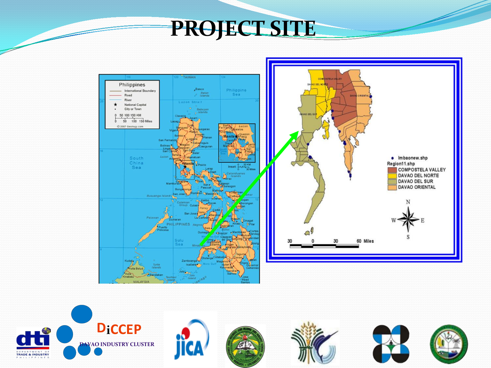# PROJECT SITE



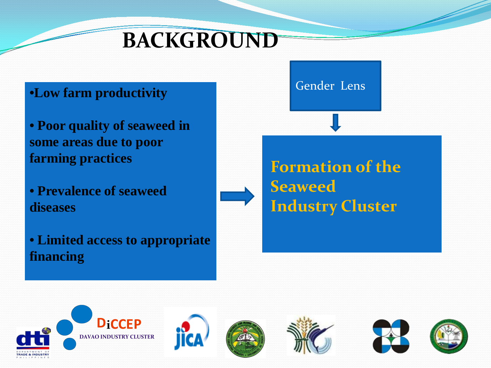# **BACKGROUND**

#### •**Low farm productivity**

- **Poor quality of seaweed in some areas due to poor farming practices**
- **Prevalence of seaweed diseases**
- **Limited access to appropriate financing**

#### Gender Lens

## **Formation of the Seaweed Industry Cluster**

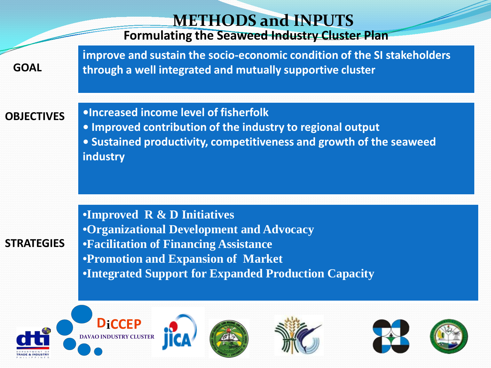| <b>METHODS and INPUTS</b><br><b>Formulating the Seaweed Industry Cluster Plan</b> |                                                                                                                                                                                                                                               |  |  |  |
|-----------------------------------------------------------------------------------|-----------------------------------------------------------------------------------------------------------------------------------------------------------------------------------------------------------------------------------------------|--|--|--|
| <b>GOAL</b>                                                                       | improve and sustain the socio-economic condition of the SI stakeholders<br>through a well integrated and mutually supportive cluster                                                                                                          |  |  |  |
| <b>OBJECTIVES</b>                                                                 | .Increased income level of fisherfolk<br>. Improved contribution of the industry to regional output<br>• Sustained productivity, competitiveness and growth of the seaweed<br>industry                                                        |  |  |  |
| <b>STRATEGIES</b>                                                                 | •Improved $R \& D$ Initiatives<br><b>•Organizational Development and Advocacy</b><br><b>•Facilitation of Financing Assistance</b><br><b>•Promotion and Expansion of Market</b><br><b>•Integrated Support for Expanded Production Capacity</b> |  |  |  |
|                                                                                   | D:CCED                                                                                                                                                                                                                                        |  |  |  |

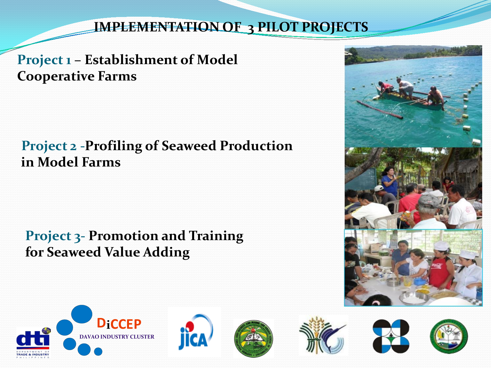#### **IMPLEMENTATION OF 3 PILOT PROJECTS**

**Project 1 – Establishment of Model Cooperative Farms**

#### **Project 2 -Profiling of Seaweed Production in Model Farms**

**Project 3- Promotion and Training for Seaweed Value Adding** 



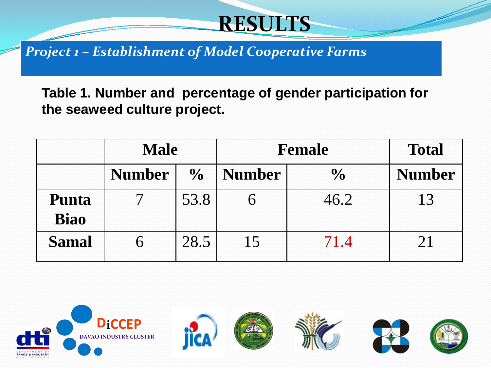# **RESULTS**

*Project 1 – Establishment of Model Cooperative Farms*

**Table 1. Number and percentage of gender participation for the seaweed culture project.**

|              | <b>Male</b>   |               | <b>Female</b> |                | <b>Total</b>  |
|--------------|---------------|---------------|---------------|----------------|---------------|
|              | <b>Number</b> | $\frac{0}{0}$ | <b>Number</b> | $\frac{0}{0}$  | <b>Number</b> |
| Punta        |               | 53.8          |               | 46.2           |               |
| <b>Biao</b>  |               |               |               |                |               |
| <b>Samal</b> |               | 28.5          |               | $\overline{4}$ |               |

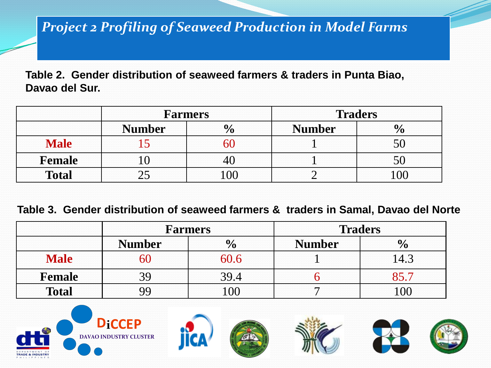#### *Project 2 Profiling of Seaweed Production in Model Farms*

**Table 2. Gender distribution of seaweed farmers & traders in Punta Biao, Davao del Sur.**

|               | <b>Farmers</b> |              | <b>Traders</b> |              |
|---------------|----------------|--------------|----------------|--------------|
|               | <b>Number</b>  | $\mathbf{0}$ | <b>Number</b>  | $\mathbf{0}$ |
| <b>Male</b>   |                | nı           |                |              |
| <b>Female</b> |                |              |                |              |
| <b>Total</b>  |                | 100          |                |              |

#### **Table 3. Gender distribution of seaweed farmers & traders in Samal, Davao del Norte**

|               | <b>Farmers</b> |                | <b>Traders</b> |               |
|---------------|----------------|----------------|----------------|---------------|
|               | <b>Number</b>  | $\frac{6}{9}$  | <b>Number</b>  | $\frac{1}{2}$ |
| <b>Male</b>   | าเ             | 60.6           |                |               |
| <b>Female</b> | 39             | 39.4           |                |               |
| <b>Total</b>  | QQ             | 0 <sup>0</sup> |                | $\Omega$      |

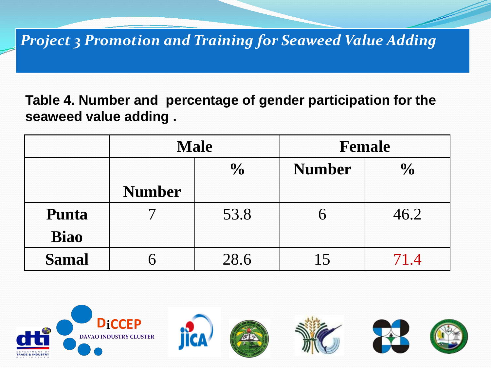#### *Project 3 Promotion and Training for Seaweed Value Adding*

**Table 4. Number and percentage of gender participation for the seaweed value adding .**

|              | <b>Male</b>   |      | Female        |               |
|--------------|---------------|------|---------------|---------------|
|              | $\frac{0}{0}$ |      | <b>Number</b> | $\frac{0}{0}$ |
|              | <b>Number</b> |      |               |               |
| Punta        |               | 53.8 |               | 46.2          |
| <b>Biao</b>  |               |      |               |               |
| <b>Samal</b> |               | 28.6 |               | $\Delta$      |

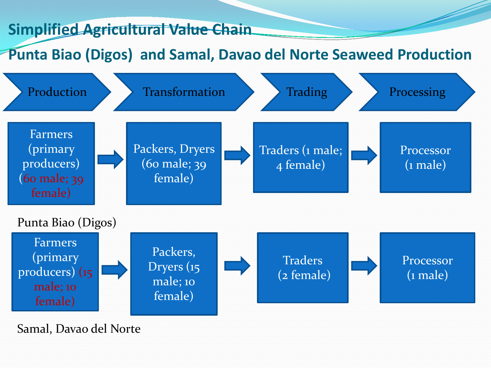#### **Simplified Agricultural Value Chain**

#### **Punta Biao (Digos) and Samal, Davao del Norte Seaweed Production**



Samal, Davao del Norte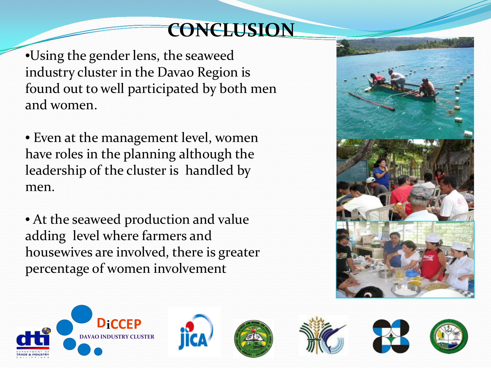## **CONCLUSION**

•Using the gender lens, the seaweed industry cluster in the Davao Region is found out to well participated by both men and women.

• Even at the management level, women have roles in the planning although the leadership of the cluster is handled by men.

• At the seaweed production and value adding level where farmers and housewives are involved, there is greater percentage of women involvement



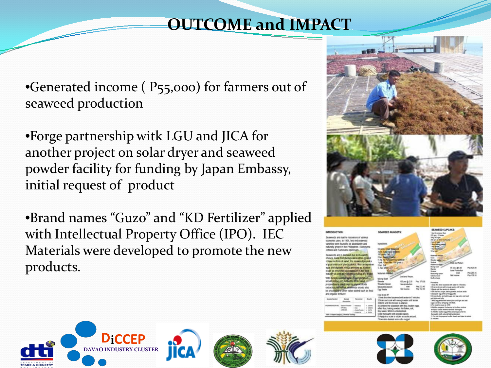### **OUTCOME and IMPACT**

•Generated income (P55,000) for farmers out of seaweed production

•Forge partnership witk LGU and JICA for another project on solar dryer and seaweed powder facility for funding by Japan Embassy, initial request of product

•Brand names "Guzo" and "KD Fertilizer" applied with Intellectual Property Office (IPO). IEC Materials were developed to promote the new products.











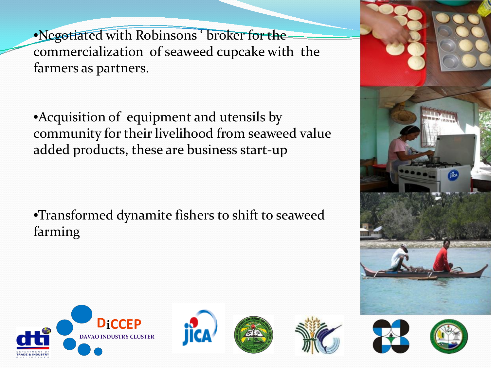•Negotiated with Robinsons ' broker for the commercialization of seaweed cupcake with the farmers as partners.

•Acquisition of equipment and utensils by community for their livelihood from seaweed value added products, these are business start-up

•Transformed dynamite fishers to shift to seaweed farming